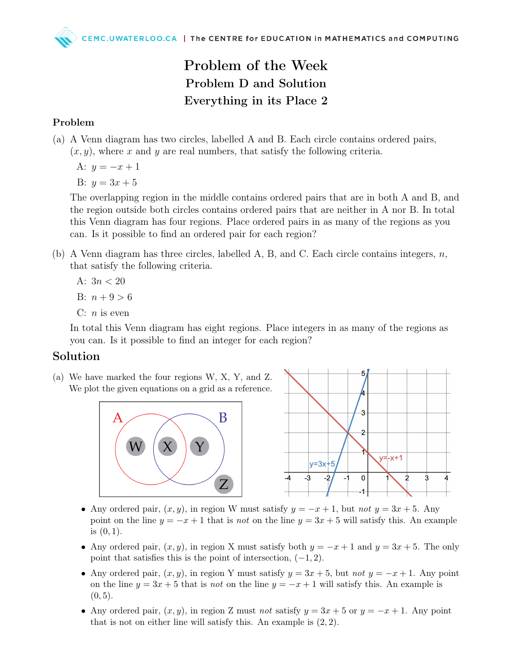## Problem of the Week Problem D and Solution Everything in its Place 2

## Problem

(a) A Venn diagram has two circles, labelled A and B. Each circle contains ordered pairs,  $(x, y)$ , where x and y are real numbers, that satisfy the following criteria.

A:  $y = -x + 1$ 

B:  $y = 3x + 5$ 

The overlapping region in the middle contains ordered pairs that are in both A and B, and the region outside both circles contains ordered pairs that are neither in A nor B. In total this Venn diagram has four regions. Place ordered pairs in as many of the regions as you can. Is it possible to find an ordered pair for each region?

(b) A Venn diagram has three circles, labelled A, B, and C. Each circle contains integers,  $n$ , that satisfy the following criteria.

A:  $3n < 20$ 

B:  $n + 9 > 6$ 

 $C: n$  is even

In total this Venn diagram has eight regions. Place integers in as many of the regions as you can. Is it possible to find an integer for each region?

## Solution

(a) We have marked the four regions W, X, Y, and Z. We plot the given equations on a grid as a reference.





- Any ordered pair,  $(x, y)$ , in region W must satisfy  $y = -x + 1$ , but not  $y = 3x + 5$ . Any point on the line  $y = -x + 1$  that is not on the line  $y = 3x + 5$  will satisfy this. An example is  $(0, 1)$ .
- Any ordered pair,  $(x, y)$ , in region X must satisfy both  $y = -x + 1$  and  $y = 3x + 5$ . The only point that satisfies this is the point of intersection,  $(-1, 2)$ .
- Any ordered pair,  $(x, y)$ , in region Y must satisfy  $y = 3x + 5$ , but not  $y = -x + 1$ . Any point on the line  $y = 3x + 5$  that is not on the line  $y = -x + 1$  will satisfy this. An example is  $(0, 5)$ .
- Any ordered pair,  $(x, y)$ , in region Z must not satisfy  $y = 3x + 5$  or  $y = -x + 1$ . Any point that is not on either line will satisfy this. An example is (2, 2).